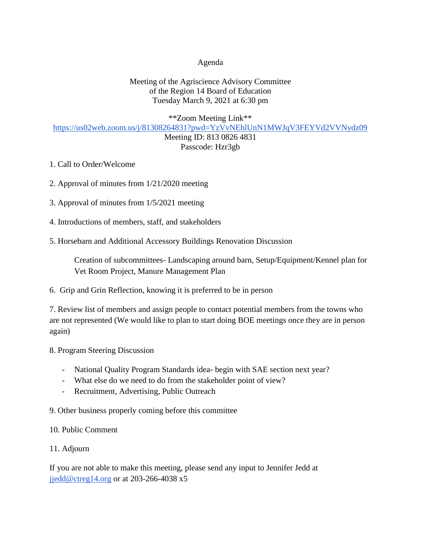### Agenda

# Meeting of the Agriscience Advisory Committee of the Region 14 Board of Education Tuesday March 9, 2021 at 6:30 pm

#### \*\*Zoom Meeting Link\*\*

### <https://us02web.zoom.us/j/81308264831?pwd=YzVvNEhlUnN1MWJqV3FEYVd2VVNydz09>

### Meeting ID: 813 0826 4831 Passcode: Hzr3gb

- 1. Call to Order/Welcome
- 2. Approval of minutes from 1/21/2020 meeting
- 3. Approval of minutes from 1/5/2021 meeting
- 4. Introductions of members, staff, and stakeholders
- 5. Horsebarn and Additional Accessory Buildings Renovation Discussion

Creation of subcommittees- Landscaping around barn, Setup/Equipment/Kennel plan for Vet Room Project, Manure Management Plan

# 6. Grip and Grin Reflection, knowing it is preferred to be in person

7. Review list of members and assign people to contact potential members from the towns who are not represented (We would like to plan to start doing BOE meetings once they are in person again)

- 8. Program Steering Discussion
	- National Quality Program Standards idea- begin with SAE section next year?
	- What else do we need to do from the stakeholder point of view?
	- Recruitment, Advertising, Public Outreach

9. Other business properly coming before this committee

# 10. Public Comment

# 11. Adjourn

If you are not able to make this meeting, please send any input to Jennifer Jedd at [jjedd@ctreg14.org](mailto:jjedd@ctreg14.org) or at 203-266-4038 x5